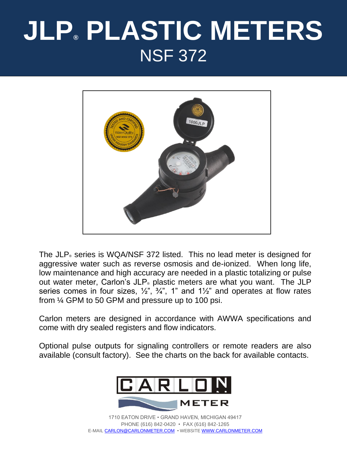# **JLP® PLASTIC METERS** NSF 372



The JLP® series is WQA/NSF 372 listed. This no lead meter is designed for aggressive water such as reverse osmosis and de-ionized. When long life, low maintenance and high accuracy are needed in a plastic totalizing or pulse out water meter, Carlon's JLP® plastic meters are what you want. The JLP series comes in four sizes,  $\frac{1}{2}$ ,  $\frac{3}{4}$ , 1" and 1 $\frac{1}{2}$ " and operates at flow rates from ¼ GPM to 50 GPM and pressure up to 100 psi.

Carlon meters are designed in accordance with AWWA specifications and come with dry sealed registers and flow indicators.

Optional pulse outputs for signaling controllers or remote readers are also available (consult factory). See the charts on the back for available contacts.



1710 EATON DRIVE • GRAND HAVEN, MICHIGAN 49417 PHONE (616) 842-0420 • FAX (616) 842-1265 E-MAIL [CARLON@CARLONMETER.COM](mailto:CARLON@CARLONMETER.COM) • WEBSITE [WWW.CARLONMETER.COM](http://www.carlonmeter.com/)